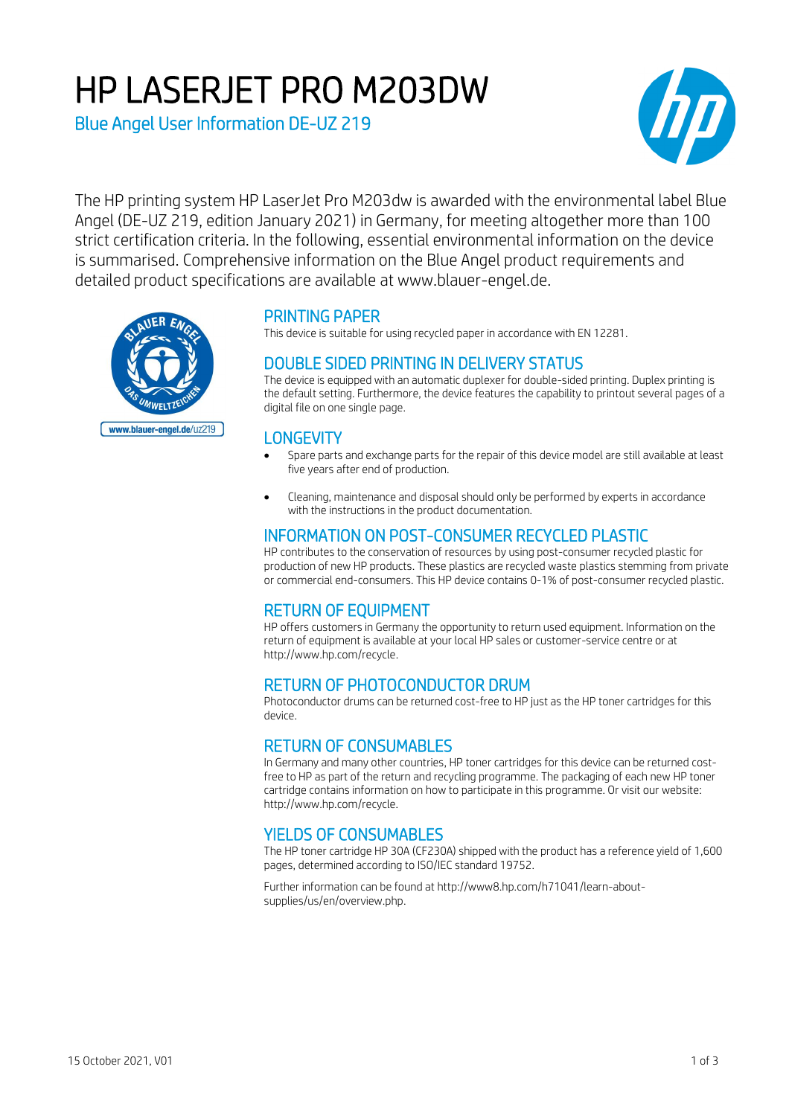# HP LASERJET PRO M203DW

Blue Angel User Information DE-UZ 219



The HP printing system HP LaserJet Pro M203dw is awarded with the environmental label Blue Angel (DE-UZ 219, edition January 2021) in Germany, for meeting altogether more than 100 strict certification criteria. In the following, essential environmental information on the device is summarised. Comprehensive information on the Blue Angel product requirements and detailed product specifications are available at www.blauer-engel.de.



# PRINTING PAPER

This device is suitable for using recycled paper in accordance with EN 12281.

## DOUBLE SIDED PRINTING IN DELIVERY STATUS

The device is equipped with an automatic duplexer for double-sided printing. Duplex printing is the default setting. Furthermore, the device features the capability to printout several pages of a digital file on one single page.

#### **LONGEVITY**

- Spare parts and exchange parts for the repair of this device model are still available at least five years after end of production.
- Cleaning, maintenance and disposal should only be performed by experts in accordance with the instructions in the product documentation.

## INFORMATION ON POST-CONSUMER RECYCLED PLASTIC

HP contributes to the conservation of resources by using post-consumer recycled plastic for production of new HP products. These plastics are recycled waste plastics stemming from private or commercial end-consumers. This HP device contains 0-1% of post-consumer recycled plastic.

# RETURN OF EQUIPMENT

HP offers customers in Germany the opportunity to return used equipment. Information on the return of equipment is available at your local HP sales or customer-service centre or at http://www.hp.com/recycle.

# RETURN OF PHOTOCONDUCTOR DRUM

Photoconductor drums can be returned cost-free to HP just as the HP toner cartridges for this device.

### RETURN OF CONSUMABLES

In Germany and many other countries, HP toner cartridges for this device can be returned costfree to HP as part of the return and recycling programme. The packaging of each new HP toner cartridge contains information on how to participate in this programme. Or visit our website: http://www.hp.com/recycle.

### YIELDS OF CONSUMABLES

The HP toner cartridge HP 30A (CF230A) shipped with the product has a reference yield of 1,600 pages, determined according to ISO/IEC standard 19752.

Further information can be found at http://www8.hp.com/h71041/learn-aboutsupplies/us/en/overview.php.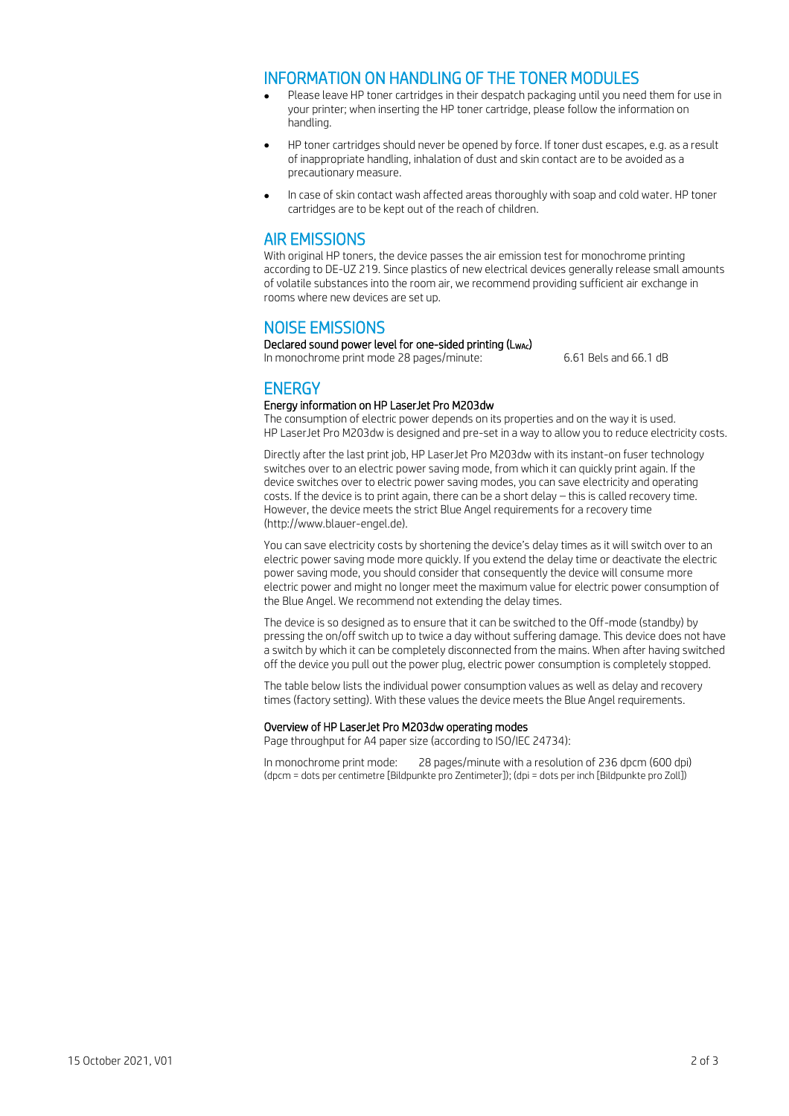#### INFORMATION ON HANDLING OF THE TONER MODULES

- Please leave HP toner cartridges in their despatch packaging until you need them for use in your printer; when inserting the HP toner cartridge, please follow the information on handling.
- HP toner cartridges should never be opened by force. If toner dust escapes, e.g. as a result of inappropriate handling, inhalation of dust and skin contact are to be avoided as a precautionary measure.
- In case of skin contact wash affected areas thoroughly with soap and cold water. HP toner cartridges are to be kept out of the reach of children.

#### AIR EMISSIONS

With original HP toners, the device passes the air emission test for monochrome printing according to DE-UZ 219. Since plastics of new electrical devices generally release small amounts of volatile substances into the room air, we recommend providing sufficient air exchange in rooms where new devices are set up.

#### NOISE EMISSIONS

Declared sound power level for one-sided printing (LwAc) In monochrome print mode 28 pages/minute: 6.61 Bels and 66.1 dB

# **ENERGY**

#### Energy information on HP LaserJet Pro M203dw

The consumption of electric power depends on its properties and on the way it is used. HP LaserJet Pro M203dw is designed and pre-set in a way to allow you to reduce electricity costs.

Directly after the last print job, HP LaserJet Pro M203dw with its instant-on fuser technology switches over to an electric power saving mode, from which it can quickly print again. If the device switches over to electric power saving modes, you can save electricity and operating costs. If the device is to print again, there can be a short delay – this is called recovery time. However, the device meets the strict Blue Angel requirements for a recovery time (http://www.blauer-engel.de).

You can save electricity costs by shortening the device's delay times as it will switch over to an electric power saving mode more quickly. If you extend the delay time or deactivate the electric power saving mode, you should consider that consequently the device will consume more electric power and might no longer meet the maximum value for electric power consumption of the Blue Angel. We recommend not extending the delay times.

The device is so designed as to ensure that it can be switched to the Off-mode (standby) by pressing the on/off switch up to twice a day without suffering damage. This device does not have a switch by which it can be completely disconnected from the mains. When after having switched off the device you pull out the power plug, electric power consumption is completely stopped.

The table below lists the individual power consumption values as well as delay and recovery times (factory setting). With these values the device meets the Blue Angel requirements.

#### Overview of HP LaserJet Pro M203dw operating modes

Page throughput for A4 paper size (according to ISO/IEC 24734):

In monochrome print mode: 28 pages/minute with a resolution of 236 dpcm (600 dpi) (dpcm = dots per centimetre [Bildpunkte pro Zentimeter]); (dpi = dots per inch [Bildpunkte pro Zoll])